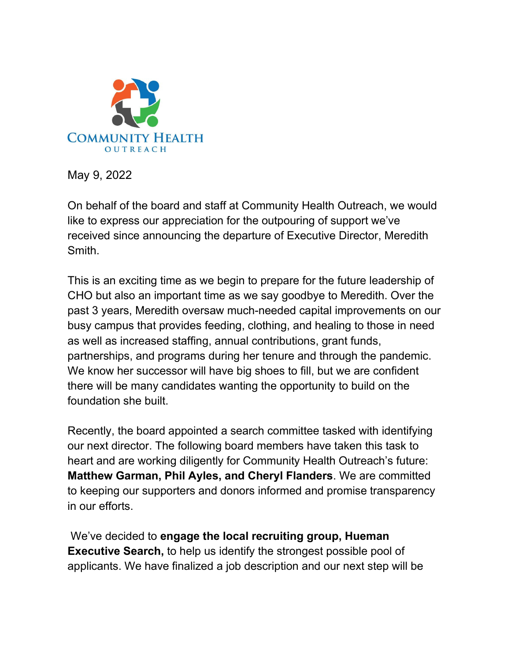

May 9, 2022

On behalf of the board and staff at Community Health Outreach, we would like to express our appreciation for the outpouring of support we've received since announcing the departure of Executive Director, Meredith Smith.

This is an exciting time as we begin to prepare for the future leadership of CHO but also an important time as we say goodbye to Meredith. Over the past 3 years, Meredith oversaw much-needed capital improvements on our busy campus that provides feeding, clothing, and healing to those in need as well as increased staffing, annual contributions, grant funds, partnerships, and programs during her tenure and through the pandemic. We know her successor will have big shoes to fill, but we are confident there will be many candidates wanting the opportunity to build on the foundation she built.

Recently, the board appointed a search committee tasked with identifying our next director. The following board members have taken this task to heart and are working diligently for Community Health Outreach's future: **Matthew Garman, Phil Ayles, and Cheryl Flanders**. We are committed to keeping our supporters and donors informed and promise transparency in our efforts.

We've decided to **engage the local recruiting group, Hueman Executive Search,** to help us identify the strongest possible pool of applicants. We have finalized a job description and our next step will be